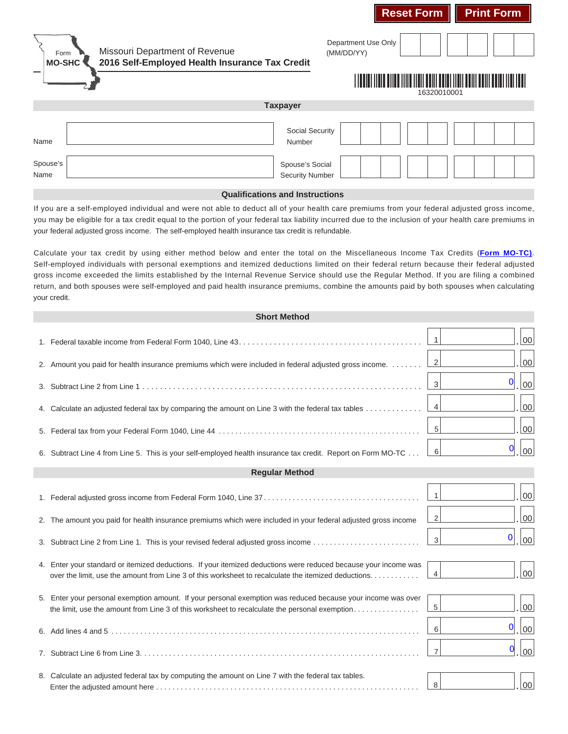| Missouri Department of Revenue<br>Form<br>2016 Self-Employed Health Insurance Tax Credit<br><b>MO-SHC</b> | Department Use Only<br>(MM/DD/YY)<br>16320010001 |
|-----------------------------------------------------------------------------------------------------------|--------------------------------------------------|
| <b>Taxpayer</b>                                                                                           |                                                  |
| <b>Social Security</b><br>Name<br>Number                                                                  |                                                  |
| Spouse's<br>Spouse's Social<br><b>Security Number</b><br>Name                                             |                                                  |

**Reset Form Print Form** 

## **Qualifications and Instructions**

If you are a self-employed individual and were not able to deduct all of your health care premiums from your federal adjusted gross income, you may be eligible for a tax credit equal to the portion of your federal tax liability incurred due to the inclusion of your health care premiums in your federal adjusted gross income. The self-employed health insurance tax credit is refundable.

Calculate your tax credit by using either method below and enter the total on the Miscellaneous Income Tax Credits (**Form MO-TC)**. your credit. Self-employed individuals with personal exemptions and itemized deductions limited on their federal return because their federal adjusted gross income exceeded the limits established by the Internal Revenue Service should use the Regular Method. If you are filing a combined return, and both spouses were self-employed and paid health insurance premiums, combine the amounts paid by both spouses when calculating

| <b>Short Method</b>   |                                                                                                                                                                                                                         |                                                    |  |  |
|-----------------------|-------------------------------------------------------------------------------------------------------------------------------------------------------------------------------------------------------------------------|----------------------------------------------------|--|--|
|                       |                                                                                                                                                                                                                         | 00<br>$\overline{1}$                               |  |  |
|                       | 2. Amount you paid for health insurance premiums which were included in federal adjusted gross income.                                                                                                                  | 00<br>$\vert$ 2                                    |  |  |
|                       |                                                                                                                                                                                                                         | $\overline{0}$<br>00<br>$\overline{3}$             |  |  |
|                       | 4. Calculate an adjusted federal tax by comparing the amount on Line 3 with the federal tax tables                                                                                                                      | 00<br>4                                            |  |  |
|                       |                                                                                                                                                                                                                         | 00<br>5 <sup>1</sup>                               |  |  |
|                       | 6. Subtract Line 4 from Line 5. This is your self-employed health insurance tax credit. Report on Form MO-TC                                                                                                            | 0<br>00<br>6                                       |  |  |
| <b>Regular Method</b> |                                                                                                                                                                                                                         |                                                    |  |  |
|                       |                                                                                                                                                                                                                         | 00<br>$\vert$ 1                                    |  |  |
|                       | 2. The amount you paid for health insurance premiums which were included in your federal adjusted gross income                                                                                                          | $00\,$<br>2                                        |  |  |
|                       | 3. Subtract Line 2 from Line 1. This is your revised federal adjusted gross income                                                                                                                                      | 0<br>00<br>3                                       |  |  |
|                       | 4. Enter your standard or itemized deductions. If your itemized deductions were reduced because your income was<br>over the limit, use the amount from Line 3 of this worksheet to recalculate the itemized deductions. | 00<br>$\overline{4}$                               |  |  |
|                       | 5. Enter your personal exemption amount. If your personal exemption was reduced because your income was over<br>the limit, use the amount from Line 3 of this worksheet to recalculate the personal exemption           | $00\,$<br>$\overline{5}$                           |  |  |
|                       |                                                                                                                                                                                                                         | 00<br>$\mathbf{0}$<br>6                            |  |  |
|                       |                                                                                                                                                                                                                         | $\boldsymbol{0}$<br>$ 00\rangle$<br>$\overline{7}$ |  |  |
|                       | 8. Calculate an adjusted federal tax by computing the amount on Line 7 with the federal tax tables.                                                                                                                     | 00<br>8                                            |  |  |